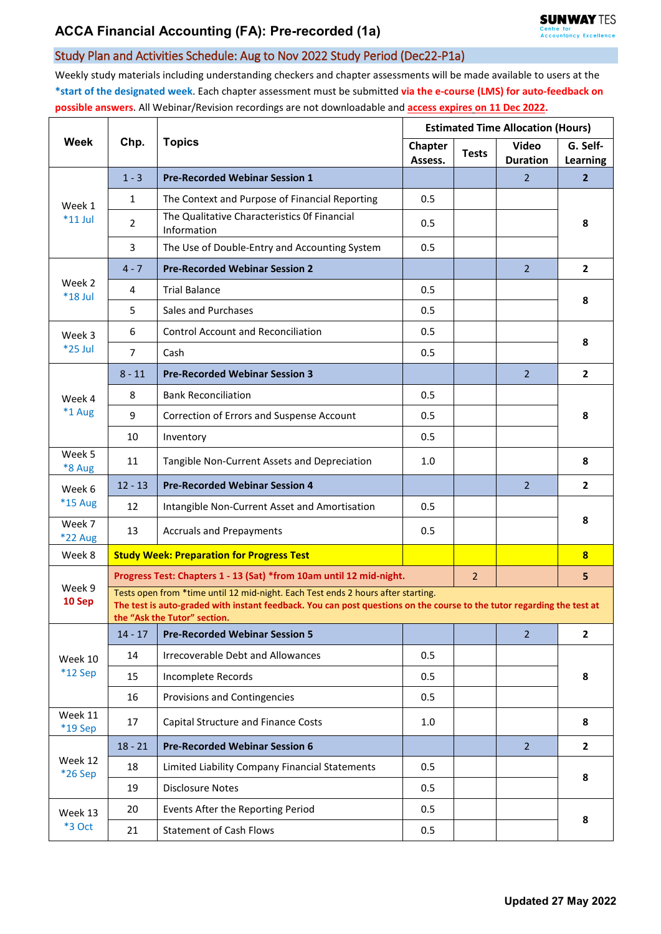## Study Plan and Activities Schedule: Aug to Nov 2022 Study Period (Dec22-P1a)

Weekly study materials including understanding checkers and chapter assessments will be made available to users at the **\*start of the designated week**. Each chapter assessment must be submitted **via the e-course (LMS) for auto-feedback on possible answers**. All Webinar/Revision recordings are not downloadable and **access expires on 11 Dec 2022.**

| Week                     | Chp.                                                                                                                                                                                                                                       | <b>Topics</b>                                                       | <b>Estimated Time Allocation (Hours)</b> |              |                          |                         |  |  |
|--------------------------|--------------------------------------------------------------------------------------------------------------------------------------------------------------------------------------------------------------------------------------------|---------------------------------------------------------------------|------------------------------------------|--------------|--------------------------|-------------------------|--|--|
|                          |                                                                                                                                                                                                                                            |                                                                     | Chapter<br>Assess.                       | <b>Tests</b> | Video<br><b>Duration</b> | G. Self-<br>Learning    |  |  |
| Week 1<br>$*11$ Jul      | $1 - 3$                                                                                                                                                                                                                                    | <b>Pre-Recorded Webinar Session 1</b>                               |                                          |              | $\overline{2}$           | $\overline{2}$          |  |  |
|                          | $\mathbf{1}$                                                                                                                                                                                                                               | The Context and Purpose of Financial Reporting                      | 0.5                                      |              |                          | 8                       |  |  |
|                          | $\overline{2}$                                                                                                                                                                                                                             | The Qualitative Characteristics Of Financial<br>Information         | 0.5                                      |              |                          |                         |  |  |
|                          | 3                                                                                                                                                                                                                                          | The Use of Double-Entry and Accounting System                       | 0.5                                      |              |                          |                         |  |  |
| Week 2<br>$*18$ Jul      | $4 - 7$                                                                                                                                                                                                                                    | <b>Pre-Recorded Webinar Session 2</b>                               |                                          |              | $\overline{2}$           | $\overline{2}$          |  |  |
|                          | $\overline{4}$                                                                                                                                                                                                                             | <b>Trial Balance</b>                                                | 0.5                                      |              |                          | 8                       |  |  |
|                          | 5                                                                                                                                                                                                                                          | Sales and Purchases                                                 | 0.5                                      |              |                          |                         |  |  |
| Week 3<br>*25 Jul        | 6                                                                                                                                                                                                                                          | <b>Control Account and Reconciliation</b>                           | 0.5                                      |              |                          | 8                       |  |  |
|                          | $\overline{7}$                                                                                                                                                                                                                             | Cash                                                                | 0.5                                      |              |                          |                         |  |  |
| Week 4<br>*1 Aug         | $8 - 11$                                                                                                                                                                                                                                   | <b>Pre-Recorded Webinar Session 3</b>                               |                                          |              | $\overline{2}$           | $\overline{2}$          |  |  |
|                          | 8                                                                                                                                                                                                                                          | <b>Bank Reconciliation</b>                                          | 0.5                                      |              |                          | 8                       |  |  |
|                          | 9                                                                                                                                                                                                                                          | Correction of Errors and Suspense Account                           | 0.5                                      |              |                          |                         |  |  |
|                          | 10                                                                                                                                                                                                                                         | Inventory                                                           | 0.5                                      |              |                          |                         |  |  |
| Week 5<br>*8 Aug         | 11                                                                                                                                                                                                                                         | Tangible Non-Current Assets and Depreciation                        | 1.0                                      |              |                          | 8                       |  |  |
| Week 6                   | $12 - 13$                                                                                                                                                                                                                                  | <b>Pre-Recorded Webinar Session 4</b>                               |                                          |              | $\overline{2}$           | $\mathbf{2}$            |  |  |
| *15 Aug                  | 12                                                                                                                                                                                                                                         | Intangible Non-Current Asset and Amortisation                       | 0.5                                      |              |                          | 8                       |  |  |
| Week 7<br><b>*22 Aug</b> | 13                                                                                                                                                                                                                                         | <b>Accruals and Prepayments</b>                                     | 0.5                                      |              |                          |                         |  |  |
| Week 8                   |                                                                                                                                                                                                                                            | <b>Study Week: Preparation for Progress Test</b>                    |                                          |              |                          | $\overline{\mathbf{8}}$ |  |  |
| Week 9<br>10 Sep         |                                                                                                                                                                                                                                            | Progress Test: Chapters 1 - 13 (Sat) *from 10am until 12 mid-night. |                                          |              |                          | 5                       |  |  |
|                          | Tests open from *time until 12 mid-night. Each Test ends 2 hours after starting.<br>The test is auto-graded with instant feedback. You can post questions on the course to the tutor regarding the test at<br>the "Ask the Tutor" section. |                                                                     |                                          |              |                          |                         |  |  |
| Week 10<br>*12 Sep       | $14 - 17$                                                                                                                                                                                                                                  | <b>Pre-Recorded Webinar Session 5</b>                               |                                          |              | $\overline{2}$           | $\overline{2}$          |  |  |
|                          | 14                                                                                                                                                                                                                                         | <b>Irrecoverable Debt and Allowances</b>                            | 0.5                                      |              |                          | 8                       |  |  |
|                          | 15                                                                                                                                                                                                                                         | Incomplete Records                                                  | 0.5                                      |              |                          |                         |  |  |
|                          | 16                                                                                                                                                                                                                                         | Provisions and Contingencies                                        | 0.5                                      |              |                          |                         |  |  |
| Week 11<br>*19 Sep       | 17                                                                                                                                                                                                                                         | Capital Structure and Finance Costs                                 | 1.0                                      |              |                          | 8                       |  |  |
| Week 12<br>*26 Sep       | $18 - 21$                                                                                                                                                                                                                                  | <b>Pre-Recorded Webinar Session 6</b>                               |                                          |              | $\overline{2}$           | $\overline{2}$          |  |  |
|                          | 18                                                                                                                                                                                                                                         | Limited Liability Company Financial Statements                      | 0.5                                      |              |                          | 8                       |  |  |
|                          | 19                                                                                                                                                                                                                                         | <b>Disclosure Notes</b>                                             | 0.5                                      |              |                          |                         |  |  |
| Week 13<br>*3 Oct        | 20                                                                                                                                                                                                                                         | Events After the Reporting Period                                   | 0.5                                      |              |                          | 8                       |  |  |
|                          | 21                                                                                                                                                                                                                                         | <b>Statement of Cash Flows</b>                                      | 0.5                                      |              |                          |                         |  |  |